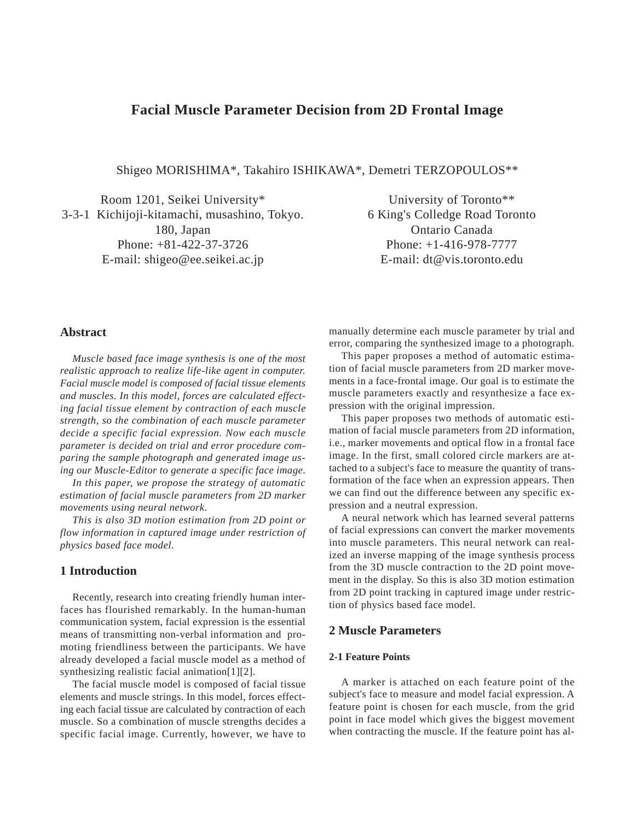# **Facial Muscle Parameter Decision from 2D Frontal Image**

Shigeo MORISHIMA\*, Takahiro ISHIKAWA\*, Demetri TERZOPOULOS\*\*

Room 1201, Seikei University\* 3-3-1 Kichijoji-kitamachi, musashino, Tokyo. 180, Japan Phone: +81-422-37-3726 E-mail: shigeo@ee.seikei.ac.jp

University of Toronto\*\* 6 King's Colledge Road Toronto Ontario Canada Phone: +1-416-978-7777 E-mail: dt@vis.toronto.edu

### **Abstract**

*Muscle based face image synthesis is one of the most realistic approach to realize life-like agent in computer. Facial muscle model is composed of facial tissue elements and muscles. In this model, forces are calculated effecting facial tissue element by contraction of each muscle strength, so the combination of each muscle parameter decide a specific facial expression. Now each muscle parameter is decided on trial and error procedure comparing the sample photograph and generated image using our Muscle-Editor to generate a specific face image.*

*In this paper, we propose the strategy of automatic estimation of facial muscle parameters from 2D marker movements using neural network.*

*This is also 3D motion estimation from 2D point or flow information in captured image under restriction of physics based face model.*

### **1 Introduction**

Recently, research into creating friendly human interfaces has flourished remarkably. In the human-human communication system, facial expression is the essential means of transmitting non-verbal information and promoting friendliness between the participants. We have already developed a facial muscle model as a method of synthesizing realistic facial animation[1][2].

The facial muscle model is composed of facial tissue elements and muscle strings. In this model, forces effecting each facial tissue are calculated by contraction of each muscle. So a combination of muscle strengths decides a specific facial image. Currently, however, we have to

manually determine each muscle parameter by trial and error, comparing the synthesized image to a photograph.

This paper proposes a method of automatic estimation of facial muscle parameters from 2D marker movements in a face-frontal image. Our goal is to estimate the muscle parameters exactly and resynthesize a face expression with the original impression.

This paper proposes two methods of automatic estimation of facial muscle parameters from 2D information, i.e., marker movements and optical flow in a frontal face image. In the first, small colored circle markers are attached to a subject's face to measure the quantity of transformation of the face when an expression appears. Then we can find out the difference between any specific expression and a neutral expression.

A neural network which has learned several patterns of facial expressions can convert the marker movements into muscle parameters. This neural network can realized an inverse mapping of the image synthesis process from the 3D muscle contraction to the 2D point movement in the display. So this is also 3D motion estimation from 2D point tracking in captured image under restriction of physics based face model.

#### **2 Muscle Parameters**

#### **2-1 Feature Points**

A marker is attached on each feature point of the subject's face to measure and model facial expression. A feature point is chosen for each muscle, from the grid point in face model which gives the biggest movement when contracting the muscle. If the feature point has al-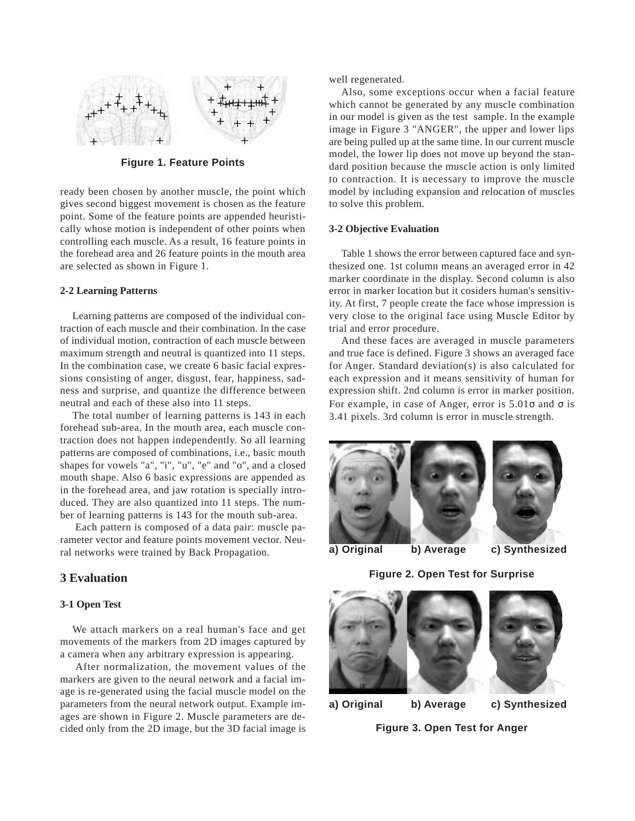

**Figure 1. Feature Points**

ready been chosen by another muscle, the point which gives second biggest movement is chosen as the feature point. Some of the feature points are appended heuristically whose motion is independent of other points when controlling each muscle. As a result, 16 feature points in the forehead area and 26 feature points in the mouth area are selected as shown in Figure 1.

#### **2-2 Learning Patterns**

Learning patterns are composed of the individual contraction of each muscle and their combination. In the case of individual motion, contraction of each muscle between maximum strength and neutral is quantized into 11 steps. In the combination case, we create 6 basic facial expressions consisting of anger, disgust, fear, happiness, sadness and surprise, and quantize the difference between neutral and each of these also into 11 steps.

The total number of learning patterns is 143 in each forehead sub-area. In the mouth area, each muscle contraction does not happen independently. So all learning patterns are composed of combinations, i.e., basic mouth shapes for vowels "a", "i", "u", "e" and "o", and a closed mouth shape. Also 6 basic expressions are appended as in the forehead area, and jaw rotation is specially introduced. They are also quantized into 11 steps. The number of learning patterns is 143 for the mouth sub-area.

 Each pattern is composed of a data pair: muscle parameter vector and feature points movement vector. Neural networks were trained by Back Propagation.

### **3 Evaluation**

#### **3-1 Open Test**

We attach markers on a real human's face and get movements of the markers from 2D images captured by a camera when any arbitrary expression is appearing.

 After normalization, the movement values of the markers are given to the neural network and a facial image is re-generated using the facial muscle model on the parameters from the neural network output. Example images are shown in Figure 2. Muscle parameters are decided only from the 2D image, but the 3D facial image is well regenerated.

Also, some exceptions occur when a facial feature which cannot be generated by any muscle combination in our model is given as the test sample. In the example image in Figure 3 "ANGER", the upper and lower lips are being pulled up at the same time. In our current muscle model, the lower lip does not move up beyond the standard position because the muscle action is only limited to contraction. It is necessary to improve the muscle model by including expansion and relocation of muscles to solve this problem.

#### **3-2 Objective Evaluation**

Table 1 shows the error between captured face and synthesized one. 1st column means an averaged error in 42 marker coordinate in the display. Second column is also error in marker location but it cosiders human's sensitivity. At first, 7 people create the face whose impression is very close to the original face using Muscle Editor by trial and error procedure.

And these faces are averaged in muscle parameters and true face is defined. Figure 3 shows an averaged face for Anger. Standard deviation(s) is also calculated for each expression and it means sensitivity of human for expression shift. 2nd column is error in marker position. For example, in case of Anger, error is  $5.01\sigma$  and  $\sigma$  is 3.41 pixels. 3rd column is error in muscle strength.



**a) Original b) Average c) Synthesized**





**a) Original b) Average c) Synthesized**

**Figure 3. Open Test for Anger**